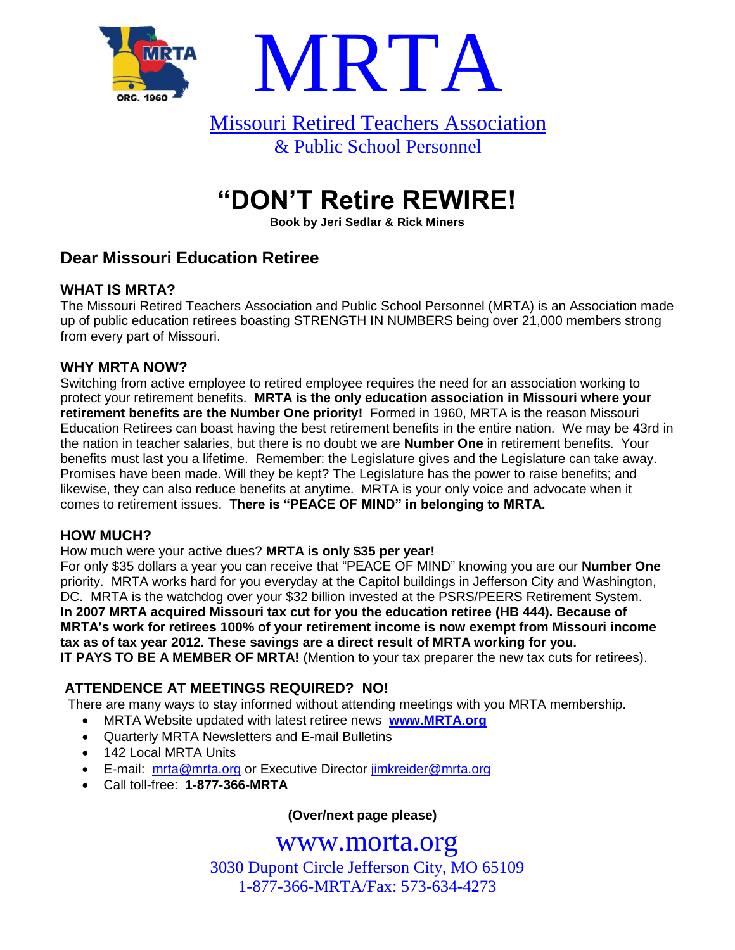



# **"DON'T Retire REWIRE!**

**Book by Jeri Sedlar & Rick Miners**

# **Dear Missouri Education Retiree**

### **WHAT IS MRTA?**

The Missouri Retired Teachers Association and Public School Personnel (MRTA) is an Association made up of public education retirees boasting STRENGTH IN NUMBERS being over 21,000 members strong from every part of Missouri.

### **WHY MRTA NOW?**

Switching from active employee to retired employee requires the need for an association working to protect your retirement benefits. **MRTA is the only education association in Missouri where your retirement benefits are the Number One priority!** Formed in 1960, MRTA is the reason Missouri Education Retirees can boast having the best retirement benefits in the entire nation. We may be 43rd in the nation in teacher salaries, but there is no doubt we are **Number One** in retirement benefits. Your benefits must last you a lifetime. Remember: the Legislature gives and the Legislature can take away. Promises have been made. Will they be kept? The Legislature has the power to raise benefits; and likewise, they can also reduce benefits at anytime. MRTA is your only voice and advocate when it comes to retirement issues. **There is "PEACE OF MIND" in belonging to MRTA.**

### **HOW MUCH?**

How much were your active dues? **MRTA is only \$35 per year!**

For only \$35 dollars a year you can receive that "PEACE OF MIND" knowing you are our **Number One** priority. MRTA works hard for you everyday at the Capitol buildings in Jefferson City and Washington, DC. MRTA is the watchdog over your \$32 billion invested at the PSRS/PEERS Retirement System. **In 2007 MRTA acquired Missouri tax cut for you the education retiree (HB 444). Because of MRTA's work for retirees 100% of your retirement income is now exempt from Missouri income tax as of tax year 2012. These savings are a direct result of MRTA working for you. IT PAYS TO BE A MEMBER OF MRTA!** (Mention to your tax preparer the new tax cuts for retirees).

## **ATTENDENCE AT MEETINGS REQUIRED? NO!**

There are many ways to stay informed without attending meetings with you MRTA membership.

- MRTA Website updated with latest retiree news **[www.MRTA.org](http://www.mrta.org/)**
- Quarterly MRTA Newsletters and E-mail Bulletins
- 142 Local MRTA Units
- E-mail: [mrta@mrta.org](mailto:mrta@mrta.org) or Executive Director [jimkreider@mrta.org](mailto:jimkreider@mrta.org)
- Call toll-free: **1-877-366-MRTA**

**(Over/next page please)**

# www.morta.org

3030 Dupont Circle Jefferson City, MO 65109 1-877-366-MRTA/Fax: 573-634-4273